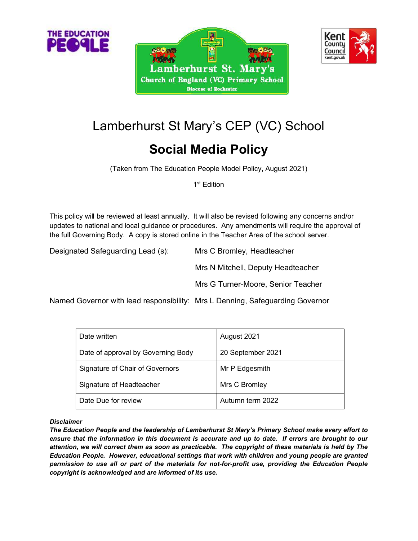



# Lamberhurst St Mary's CEP (VC) School

## Social Media Policy

(Taken from The Education People Model Policy, August 2021)

1<sup>st</sup> Edition

This policy will be reviewed at least annually. It will also be revised following any concerns and/or updates to national and local guidance or procedures. Any amendments will require the approval of the full Governing Body. A copy is stored online in the Teacher Area of the school server.

| Designated Safeguarding Lead (s): | Mrs C Bromley, Headteacher         |
|-----------------------------------|------------------------------------|
|                                   | Mrs N Mitchell, Deputy Headteacher |
|                                   | Mrs G Turner-Moore, Senior Teacher |
| $\ddot{\phantom{1}}$              |                                    |

Named Governor with lead responsibility: Mrs L Denning, Safeguarding Governor

| Date written                       | August 2021       |
|------------------------------------|-------------------|
| Date of approval by Governing Body | 20 September 2021 |
| Signature of Chair of Governors    | Mr P Edgesmith    |
| Signature of Headteacher           | Mrs C Bromley     |
| Date Due for review                | Autumn term 2022  |

#### **Disclaimer**

The Education People and the leadership of Lamberhurst St Mary's Primary School make every effort to ensure that the information in this document is accurate and up to date. If errors are brought to our attention, we will correct them as soon as practicable. The copyright of these materials is held by The Education People. However, educational settings that work with children and young people are granted permission to use all or part of the materials for not-for-profit use, providing the Education People copyright is acknowledged and are informed of its use.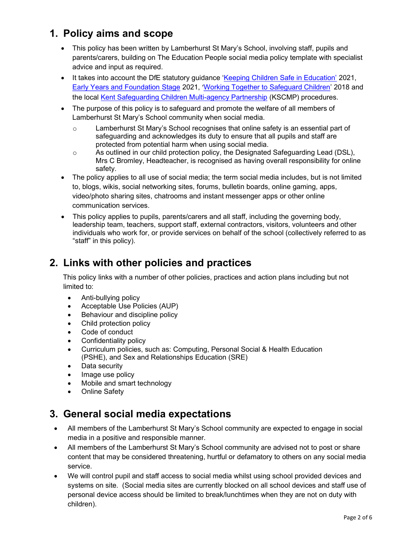## 1. Policy aims and scope

- This policy has been written by Lamberhurst St Mary's School, involving staff, pupils and parents/carers, building on The Education People social media policy template with specialist advice and input as required.
- It takes into account the DfE statutory guidance 'Keeping Children Safe in Education' 2021, Early Years and Foundation Stage 2021, 'Working Together to Safeguard Children' 2018 and the local Kent Safeguarding Children Multi-agency Partnership (KSCMP) procedures.
- The purpose of this policy is to safeguard and promote the welfare of all members of Lamberhurst St Mary's School community when social media.
	- o Lamberhurst St Mary's School recognises that online safety is an essential part of safeguarding and acknowledges its duty to ensure that all pupils and staff are protected from potential harm when using social media.
	- $\circ$  As outlined in our child protection policy, the Designated Safeguarding Lead (DSL), Mrs C Bromley, Headteacher, is recognised as having overall responsibility for online safety.
- The policy applies to all use of social media; the term social media includes, but is not limited to, blogs, wikis, social networking sites, forums, bulletin boards, online gaming, apps, video/photo sharing sites, chatrooms and instant messenger apps or other online communication services.
- This policy applies to pupils, parents/carers and all staff, including the governing body, leadership team, teachers, support staff, external contractors, visitors, volunteers and other individuals who work for, or provide services on behalf of the school (collectively referred to as "staff" in this policy).

## 2. Links with other policies and practices

This policy links with a number of other policies, practices and action plans including but not limited to:

- Anti-bullying policy
- Acceptable Use Policies (AUP)
- Behaviour and discipline policy
- Child protection policy
- Code of conduct
- Confidentiality policy
- Curriculum policies, such as: Computing, Personal Social & Health Education (PSHE), and Sex and Relationships Education (SRE)
- Data security
- Image use policy
- Mobile and smart technology
- Online Safety

## 3. General social media expectations

- All members of the Lamberhurst St Mary's School community are expected to engage in social media in a positive and responsible manner.
- All members of the Lamberhurst St Mary's School community are advised not to post or share content that may be considered threatening, hurtful or defamatory to others on any social media service.
- We will control pupil and staff access to social media whilst using school provided devices and systems on site. (Social media sites are currently blocked on all school devices and staff use of personal device access should be limited to break/lunchtimes when they are not on duty with children).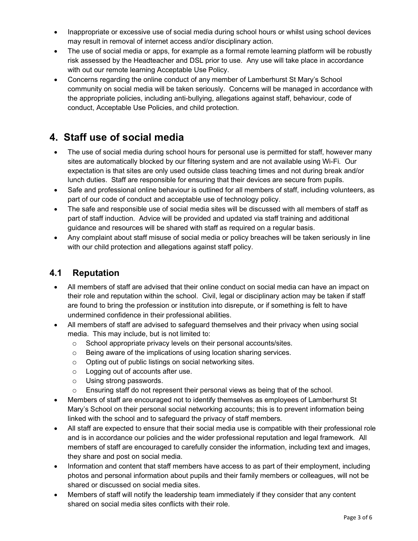- Inappropriate or excessive use of social media during school hours or whilst using school devices may result in removal of internet access and/or disciplinary action.
- The use of social media or apps, for example as a formal remote learning platform will be robustly risk assessed by the Headteacher and DSL prior to use. Any use will take place in accordance with out our remote learning Acceptable Use Policy.
- Concerns regarding the online conduct of any member of Lamberhurst St Mary's School community on social media will be taken seriously. Concerns will be managed in accordance with the appropriate policies, including anti-bullying, allegations against staff, behaviour, code of conduct, Acceptable Use Policies, and child protection.

## 4. Staff use of social media

- The use of social media during school hours for personal use is permitted for staff, however many sites are automatically blocked by our filtering system and are not available using Wi-Fi. Our expectation is that sites are only used outside class teaching times and not during break and/or lunch duties. Staff are responsible for ensuring that their devices are secure from pupils.
- Safe and professional online behaviour is outlined for all members of staff, including volunteers, as part of our code of conduct and acceptable use of technology policy.
- The safe and responsible use of social media sites will be discussed with all members of staff as part of staff induction. Advice will be provided and updated via staff training and additional guidance and resources will be shared with staff as required on a regular basis.
- Any complaint about staff misuse of social media or policy breaches will be taken seriously in line with our child protection and allegations against staff policy.

#### 4.1 Reputation

- All members of staff are advised that their online conduct on social media can have an impact on their role and reputation within the school. Civil, legal or disciplinary action may be taken if staff are found to bring the profession or institution into disrepute, or if something is felt to have undermined confidence in their professional abilities.
- All members of staff are advised to safeguard themselves and their privacy when using social media. This may include, but is not limited to:
	- o School appropriate privacy levels on their personal accounts/sites.
	- o Being aware of the implications of using location sharing services.
	- o Opting out of public listings on social networking sites.
	- o Logging out of accounts after use.
	- o Using strong passwords.
	- o Ensuring staff do not represent their personal views as being that of the school.
- Members of staff are encouraged not to identify themselves as employees of Lamberhurst St Mary's School on their personal social networking accounts; this is to prevent information being linked with the school and to safeguard the privacy of staff members.
- All staff are expected to ensure that their social media use is compatible with their professional role and is in accordance our policies and the wider professional reputation and legal framework. All members of staff are encouraged to carefully consider the information, including text and images, they share and post on social media.
- Information and content that staff members have access to as part of their employment, including photos and personal information about pupils and their family members or colleagues, will not be shared or discussed on social media sites.
- Members of staff will notify the leadership team immediately if they consider that any content shared on social media sites conflicts with their role.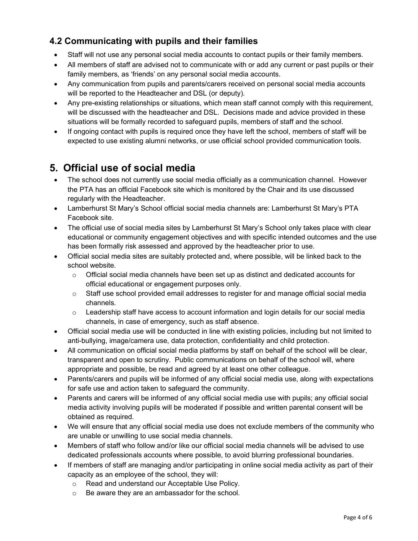#### 4.2 Communicating with pupils and their families

- Staff will not use any personal social media accounts to contact pupils or their family members.
- All members of staff are advised not to communicate with or add any current or past pupils or their family members, as 'friends' on any personal social media accounts.
- Any communication from pupils and parents/carers received on personal social media accounts will be reported to the Headteacher and DSL (or deputy).
- Any pre-existing relationships or situations, which mean staff cannot comply with this requirement, will be discussed with the headteacher and DSL. Decisions made and advice provided in these situations will be formally recorded to safeguard pupils, members of staff and the school.
- If ongoing contact with pupils is required once they have left the school, members of staff will be expected to use existing alumni networks, or use official school provided communication tools.

## 5. Official use of social media

- The school does not currently use social media officially as a communication channel. However the PTA has an official Facebook site which is monitored by the Chair and its use discussed regularly with the Headteacher.
- Lamberhurst St Mary's School official social media channels are: Lamberhurst St Mary's PTA Facebook site.
- The official use of social media sites by Lamberhurst St Mary's School only takes place with clear educational or community engagement objectives and with specific intended outcomes and the use has been formally risk assessed and approved by the headteacher prior to use.
- Official social media sites are suitably protected and, where possible, will be linked back to the school website.
	- $\circ$  Official social media channels have been set up as distinct and dedicated accounts for official educational or engagement purposes only.
	- $\circ$  Staff use school provided email addresses to register for and manage official social media channels.
	- $\circ$  Leadership staff have access to account information and login details for our social media channels, in case of emergency, such as staff absence.
- Official social media use will be conducted in line with existing policies, including but not limited to anti-bullying, image/camera use, data protection, confidentiality and child protection.
- All communication on official social media platforms by staff on behalf of the school will be clear, transparent and open to scrutiny. Public communications on behalf of the school will, where appropriate and possible, be read and agreed by at least one other colleague.
- Parents/carers and pupils will be informed of any official social media use, along with expectations for safe use and action taken to safeguard the community.
- Parents and carers will be informed of any official social media use with pupils; any official social media activity involving pupils will be moderated if possible and written parental consent will be obtained as required.
- We will ensure that any official social media use does not exclude members of the community who are unable or unwilling to use social media channels.
- Members of staff who follow and/or like our official social media channels will be advised to use dedicated professionals accounts where possible, to avoid blurring professional boundaries.
- If members of staff are managing and/or participating in online social media activity as part of their capacity as an employee of the school, they will:
	- o Read and understand our Acceptable Use Policy.
	- o Be aware they are an ambassador for the school.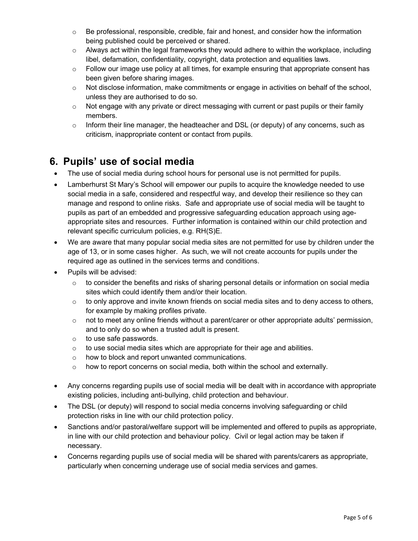- $\circ$  Be professional, responsible, credible, fair and honest, and consider how the information being published could be perceived or shared.
- $\circ$  Always act within the legal frameworks they would adhere to within the workplace, including libel, defamation, confidentiality, copyright, data protection and equalities laws.
- $\circ$  Follow our image use policy at all times, for example ensuring that appropriate consent has been given before sharing images.
- $\circ$  Not disclose information, make commitments or engage in activities on behalf of the school, unless they are authorised to do so.
- $\circ$  Not engage with any private or direct messaging with current or past pupils or their family members.
- $\circ$  Inform their line manager, the headteacher and DSL (or deputy) of any concerns, such as criticism, inappropriate content or contact from pupils.

## 6. Pupils' use of social media

- The use of social media during school hours for personal use is not permitted for pupils.
- Lamberhurst St Mary's School will empower our pupils to acquire the knowledge needed to use social media in a safe, considered and respectful way, and develop their resilience so they can manage and respond to online risks. Safe and appropriate use of social media will be taught to pupils as part of an embedded and progressive safeguarding education approach using ageappropriate sites and resources. Further information is contained within our child protection and relevant specific curriculum policies, e.g. RH(S)E.
- We are aware that many popular social media sites are not permitted for use by children under the age of 13, or in some cases higher. As such, we will not create accounts for pupils under the required age as outlined in the services terms and conditions.
- Pupils will be advised:
	- $\circ$  to consider the benefits and risks of sharing personal details or information on social media sites which could identify them and/or their location.
	- $\circ$  to only approve and invite known friends on social media sites and to deny access to others, for example by making profiles private.
	- o not to meet any online friends without a parent/carer or other appropriate adults' permission, and to only do so when a trusted adult is present.
	- o to use safe passwords.
	- $\circ$  to use social media sites which are appropriate for their age and abilities.
	- o how to block and report unwanted communications.
	- $\circ$  how to report concerns on social media, both within the school and externally.
- Any concerns regarding pupils use of social media will be dealt with in accordance with appropriate existing policies, including anti-bullying, child protection and behaviour.
- The DSL (or deputy) will respond to social media concerns involving safeguarding or child protection risks in line with our child protection policy.
- Sanctions and/or pastoral/welfare support will be implemented and offered to pupils as appropriate, in line with our child protection and behaviour policy. Civil or legal action may be taken if necessary.
- Concerns regarding pupils use of social media will be shared with parents/carers as appropriate, particularly when concerning underage use of social media services and games.